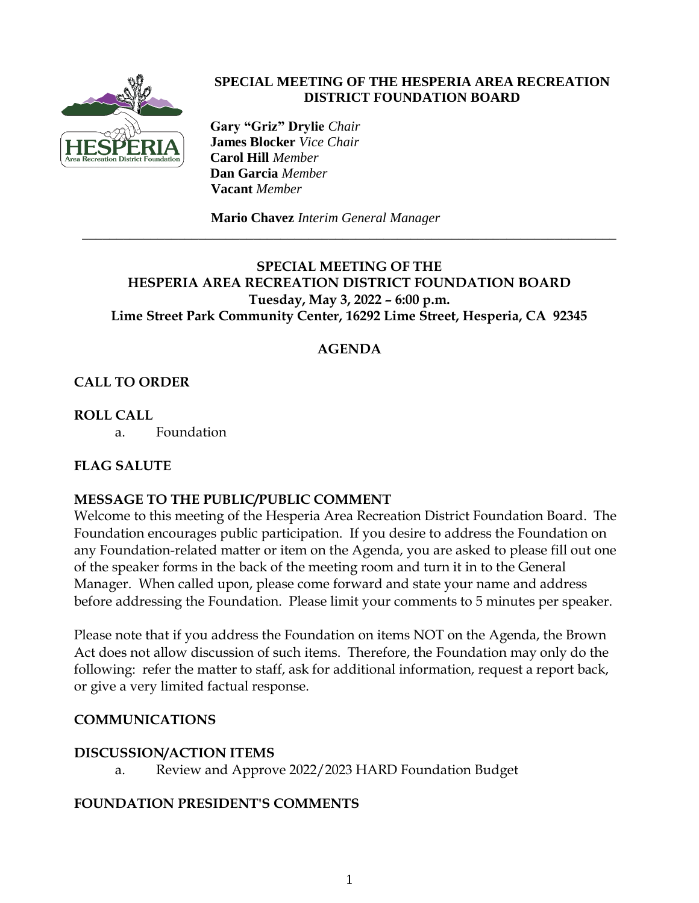

#### **SPECIAL MEETING OF THE HESPERIA AREA RECREATION DISTRICT FOUNDATION BOARD**

 **Gary "Griz" Drylie** *Chair*  **James Blocker** *Vice Chair*  **Carol Hill** *Member*  **Dan Garcia** *Member*  **Vacant** *Member*

**Mario Chavez** *Interim General Manager*

## **SPECIAL MEETING OF THE HESPERIA AREA RECREATION DISTRICT FOUNDATION BOARD Tuesday, May 3, 2022 – 6:00 p.m. Lime Street Park Community Center, 16292 Lime Street, Hesperia, CA 92345**

\_\_\_\_\_\_\_\_\_\_\_\_\_\_\_\_\_\_\_\_\_\_\_\_\_\_\_\_\_\_\_\_\_\_\_\_\_\_\_\_\_\_\_\_\_\_\_\_\_\_\_\_\_\_\_\_\_\_\_\_\_\_\_\_\_\_\_\_\_\_\_\_\_\_\_\_\_\_

## **AGENDA**

# **CALL TO ORDER**

**ROLL CALL**

a. Foundation

## **FLAG SALUTE**

#### **MESSAGE TO THE PUBLIC/PUBLIC COMMENT**

Welcome to this meeting of the Hesperia Area Recreation District Foundation Board. The Foundation encourages public participation. If you desire to address the Foundation on any Foundation-related matter or item on the Agenda, you are asked to please fill out one of the speaker forms in the back of the meeting room and turn it in to the General Manager. When called upon, please come forward and state your name and address before addressing the Foundation. Please limit your comments to 5 minutes per speaker.

Please note that if you address the Foundation on items NOT on the Agenda, the Brown Act does not allow discussion of such items. Therefore, the Foundation may only do the following: refer the matter to staff, ask for additional information, request a report back, or give a very limited factual response.

#### **COMMUNICATIONS**

#### **DISCUSSION/ACTION ITEMS**

a. Review and Approve 2022/2023 HARD Foundation Budget

#### **FOUNDATION PRESIDENT'S COMMENTS**